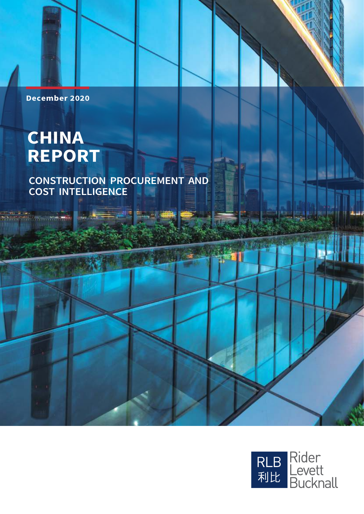### **December 2020**

# **CHINA REPORT**

 $\sim$ 

### **CONSTRUCTION PROCUREMENT AND COST INTELLIGENCE**

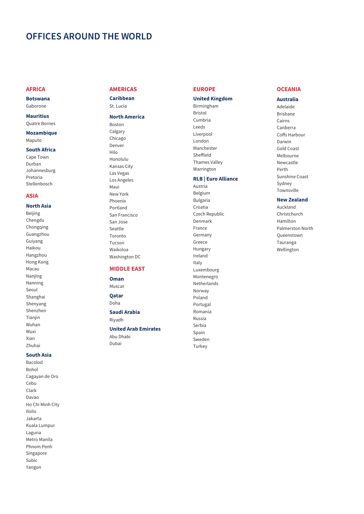### OFFICES AROUND THE WORLD

### **AFRICA**

**Botswana** Gaborone

### **Mauritius**

**Quatre Bornes Mozambique** 

Maputo

### **South Africa**

Cape Town Durban Johannesburg Pretoria Stellenbosch

### **ASIA**

### **North Asia**

Beijing Chengdu Chongqing Guangzhou Guiyang Haikou Hangzhou Hong Kong Macau Nanjing Nanning Seoul Shanghai Shenyang Shenzhen Tianjin Wuhan Wuxi Xian Zhuhai

### **South Asia**

Bacolod Bohol Cagayan de Oro Cebu Clark Davao Ho Chi Minh City Iloilo Jakarta Kuala Lumpur Laguna Metro Manila Phnom Penh Singapore Subic Yangon

### **AMERICAS**

Caribbean St. Lucia

### **North America**

Boston Calgary Chicago Denver  $Hilo$ Honolulu **Kansas City** Las Vegas Los Angeles Maui New York Phoenix Portland San Francisco San Jose Seattle Toronto Tucson Waikoloa Washington DC

### **MIDDLE EAST**

Oman Muscat

Qatar

Doha

Saudi Arabia Rivadh

### **United Arab Emirates**

Abu Dhabi Dubai

### **EUROPE**

### **United Kingdom**

Birmingham **Bristol** Cumbria Leeds Liverpool London Manchester Sheffield Thames Valley Warrington

### **RLB | Euro Alliance**

Austria Belgium **Bulgaria** Croatia Czech Republic Denmark France Germany Greece Hungary Ireland Italy Luxembourg Montenegro Netherlands Norway Poland Portugal Romania Russia Serbia Spain Sweden Turkey

### **OCEANIA**

**Australia** Adelaide **Brishane** Cairns Canberra Coffs Harbour Darwin **Gold Coast** Melbourne Newcastle Perth Sunshine Coast Sydney

Townsville New Zealand

Auckland Christchurch Hamilton Palmerston North Queenstown Tauranga Wellington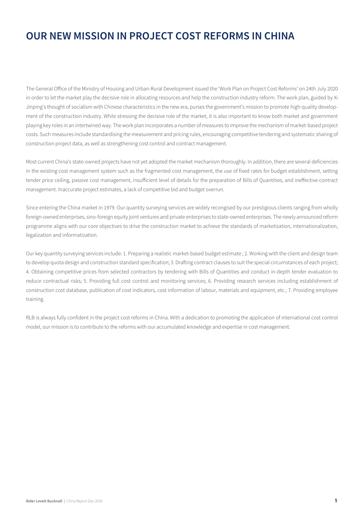### OUR NEW MISSION IN PROJECT COST REFORMS IN CHINA

The General Office of the Ministry of Housing and Urban-Rural Development issued the 'Work Plan on Project Cost Reforms' on 24th July 2020 in order to let the market play the decisive role in allocating resources and help the construction industry reform. The work plan, guided by Xi Jinping's thought of socialism with Chinese characteristics in the new era, purses the government's mission to promote high-quality development of the construction industry. While stressing the decisive role of the market, it is also important to know both market and government playing key roles in an intertwined way. The work plan incorporates a number of measures to improve the mechanism of market-based project costs. Such measures include standardising the measurement and pricing rules, encouraging competitive tendering and systematic sharing of construction project data, as well as strengthening cost control and contract management.

Most current China's state-owned projects have not yet adopted the market mechanism thoroughly. In addition, there are several deficiencies in the existing cost management system such as the fragmented cost management, the use of fixed rates for budget establishment, setting tender price ceiling, passive cost management, insufficient level of details for the preparation of Bills of Quantities, and ineffective contract management. Inaccurate project estimates, a lack of competitive bid and budget overrun.

Since entering the China market in 1979. Our quantity surveying services are widely recongised by our prestigious clients ranging from wholly foreign-owned enterprises, sino-foreign equity joint ventures and private enterprises to state-owned enterprises. The newly announced reform programme aligns with our core objectives to drive the construction market to achieve the standards of marketization, internationalization, legalization and informatization.

Our key quantity surveying services include: 1. Preparing a realistic market-based budget estimate ; 2. Working with the client and design team to develop quota design and construction standard specification; 3. Drafting contract clauses to suit the special circumstances of each project; 4. Obtaining competitive prices from selected contractors by tendering with Bills of Quantities and conduct in-depth tender evaluation to reduce contractual risks; 5. Providing full cost control and monitoring services; 6. Providing research services including establishment of construction cost database, publication of cost indicators, cost information of labour, materials and equipment, etc.; 7. Providing employee training.

RLB is always fully confident in the project cost reforms in China. With a dedication to promoting the application of international cost control model, our mission is to contribute to the reforms with our accumulated knowledge and expertise in cost management.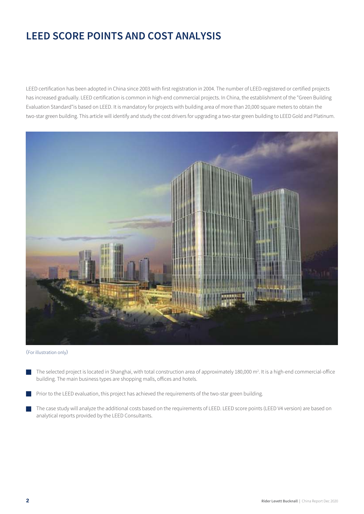LEED certification has been adopted in China since 2003 with first registration in 2004. The number of LEED-registered or certified projects has increased gradually. LEED certification is common in high-end commercial projects. In China, the establishment of the "Green Building Evaluation Standard"is based on LEED. It is mandatory for projects with building area of more than 20,000 square meters to obtain the two-star green building. This article will identify and study the cost drivers for upgrading a two-star green building to LEED Gold and Platinum.



(For illustration only)

- The selected project is located in Shanghai, with total construction area of approximately 180,000 m<sup>2</sup>, It is a high-end commercial-office building. The main business types are shopping malls, offices and hotels.
- Prior to the LEED evaluation, this project has achieved the requirements of the two-star green building.
- The case study will analyze the additional costs based on the requirements of LEED. LEED score points (LEED V4 version) are based on analytical reports provided by the LEED Consultants.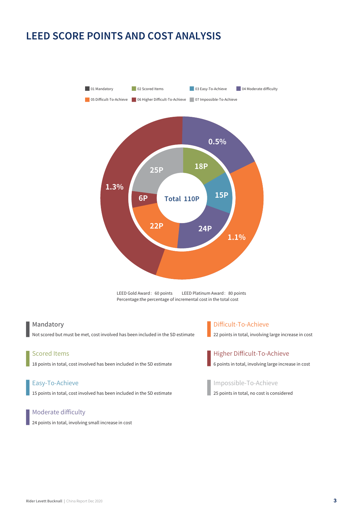

LEED Gold Award: 60 points LEED Platinum Award: 80 points Percentage: the percentage of incremental cost in the total cost

### Mandatory

Not scored but must be met, cost involved has been included in the SD estimate

### **Scored Items**

18 points in total, cost involved has been included in the SD estimate

### Easy-To-Achieve

15 points in total, cost involved has been included in the SD estimate

### Moderate difficulty

24 points in total, involving small increase in cost

### Difficult-To-Achieve

22 points in total, involving large increase in cost



### Higher Difficult-To-Achieve

6 points in total, involving large increase in cost

### Impossible-To-Achieve

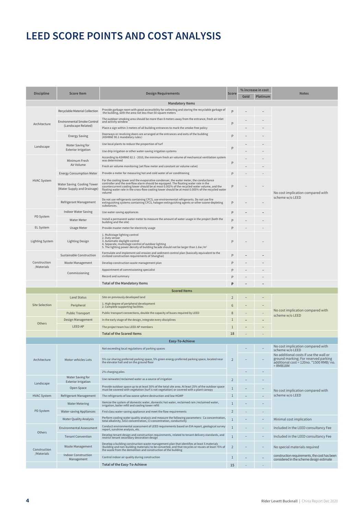|                        | <b>Score Item</b>                                         |                                                                                                                                                                                                                                                                                                                                                     | <b>Score</b>   |      | % increase in cost | <b>Notes</b>                                                                                                                            |
|------------------------|-----------------------------------------------------------|-----------------------------------------------------------------------------------------------------------------------------------------------------------------------------------------------------------------------------------------------------------------------------------------------------------------------------------------------------|----------------|------|--------------------|-----------------------------------------------------------------------------------------------------------------------------------------|
| <b>Discipline</b>      |                                                           | <b>Design Requirements</b>                                                                                                                                                                                                                                                                                                                          |                | Gold | Platinum           |                                                                                                                                         |
|                        |                                                           | <b>Mandatory Items</b>                                                                                                                                                                                                                                                                                                                              |                |      |                    |                                                                                                                                         |
|                        | Recyclable Material Collection                            | Provide garbage room with good accessibility for collecting and storing the recyclable garbage of<br>the building, with the area not less than 50 square meters                                                                                                                                                                                     | P              |      |                    |                                                                                                                                         |
| Architecture           | <b>Environmental Smoke Control</b>                        | The outdoor smoking area should be more than 8 meters away from the entrance, fresh air inlet<br>and activity window                                                                                                                                                                                                                                | P              |      |                    |                                                                                                                                         |
|                        | (Landscape Related)                                       | Place a sign within 3 meters of all building entrances to mark the smoke-free policy                                                                                                                                                                                                                                                                |                |      |                    |                                                                                                                                         |
|                        | <b>Energy Saving</b>                                      | Doorways or revolving doors are arranged at the entrances and exits of the building<br>(ASHRAE 90.1 mandatory rules)                                                                                                                                                                                                                                | P              |      |                    |                                                                                                                                         |
| Landscape              | Water Saving for                                          | Use local plants to reduce the proportion of turf                                                                                                                                                                                                                                                                                                   | P              |      |                    |                                                                                                                                         |
|                        | <b>Exterior Irrigation</b>                                | Use drip irrigation or other water-saving irrigation systems                                                                                                                                                                                                                                                                                        |                |      |                    |                                                                                                                                         |
|                        | Minimum Fresh<br>Air Volume                               | According to ASHRAE 62.1 - 2010, the minimum fresh air volume of mechanical ventilation system<br>was determined<br>Fresh air volume monitoring (set flow meter and constant air volume valve)                                                                                                                                                      | P              |      |                    |                                                                                                                                         |
|                        | <b>Energy Consumption Meter</b>                           | Provide a meter for measuring hot and cold water of air conditioning                                                                                                                                                                                                                                                                                | P              |      |                    |                                                                                                                                         |
| <b>HVAC System</b>     | Water Saving Cooling Tower<br>(Water Supply and Drainage) | For the cooling tower and the evaporative condenser, the water meter, the conductance<br>controller and the overflow alarm should be equipped. The floating water rate in the<br>countercurrent cooling tower should be at most 0.0<br>floating water rate in the cross-flow cooling tower should be at most 0.005% of the recycled water<br>volume | P              |      |                    | No cost implication compared with                                                                                                       |
|                        | Refrigerant Management                                    | Do not use refrigerants containing CFCS, use environmental refrigerants. Do not use fire<br>extinguishing systems containing CFCS, halogen extinguishing agents or other ozone-depleting<br>substances.                                                                                                                                             | P              |      |                    | scheme w/o LEED                                                                                                                         |
|                        | <b>Indoor Water Saving</b>                                | Use water-saving appliances                                                                                                                                                                                                                                                                                                                         |                |      |                    |                                                                                                                                         |
| PD System              | <b>Water Meter</b>                                        | Install a permanent water meter to measure the amount of water usage in the project (both the                                                                                                                                                                                                                                                       | P              |      |                    |                                                                                                                                         |
| EL System              | <b>Usage Meter</b>                                        | building and the site)<br>Provide master meter for electricity usage                                                                                                                                                                                                                                                                                | P              |      |                    |                                                                                                                                         |
| <b>Lighting System</b> | Lighting Design                                           | 1. Multistage lighting control<br>2. Duty sensor<br>3. Automatic daylight control<br>4. Separate, multistage control of outdoor lighting<br>5. The lighting power density of building facade should not be larger than 1.6w /m <sup>2</sup>                                                                                                         | P              |      |                    |                                                                                                                                         |
|                        | Sustainable Construction                                  | Formulate and implement soil erosion and sediment control plan (basically equivalent to the<br>civilized construction requirements of Shanghai)                                                                                                                                                                                                     | P              |      |                    |                                                                                                                                         |
| Construction           | Waste Management                                          | Develop construction waste management plan                                                                                                                                                                                                                                                                                                          |                |      |                    |                                                                                                                                         |
| /Materials             |                                                           | Appointment of commissioning specialist                                                                                                                                                                                                                                                                                                             |                |      |                    |                                                                                                                                         |
|                        | Commissioning                                             | Record and summary                                                                                                                                                                                                                                                                                                                                  |                |      |                    |                                                                                                                                         |
|                        |                                                           | <b>Total of the Mandatory Items</b>                                                                                                                                                                                                                                                                                                                 | P              |      |                    |                                                                                                                                         |
|                        |                                                           | <b>Scored Items</b>                                                                                                                                                                                                                                                                                                                                 |                |      |                    |                                                                                                                                         |
|                        | <b>Land Status</b>                                        | Site on previously developed land                                                                                                                                                                                                                                                                                                                   | $\overline{2}$ |      |                    |                                                                                                                                         |
| <b>Site Selection</b>  | Peripheral                                                | 1. High degree of peripheral development<br>2. Complete supporting facilities                                                                                                                                                                                                                                                                       | 6              |      |                    |                                                                                                                                         |
|                        | <b>Public Transport</b>                                   | Public transport connections, double the capacity of buses required by LEED                                                                                                                                                                                                                                                                         | 8              |      |                    | No cost implication compared with<br>scheme w/o LEED                                                                                    |
|                        | Design Management                                         | In the early stage of the design, integrate every disciplines                                                                                                                                                                                                                                                                                       | $\mathbf{1}$   |      |                    |                                                                                                                                         |
| Others                 | <b>LEED AP</b>                                            | The project team has LEED AP members                                                                                                                                                                                                                                                                                                                | $\mathbf{1}$   |      |                    |                                                                                                                                         |
|                        |                                                           | <b>Total of the Scored Items</b>                                                                                                                                                                                                                                                                                                                    | 18             |      |                    |                                                                                                                                         |
|                        |                                                           | Easy-To-Achieve                                                                                                                                                                                                                                                                                                                                     |                |      |                    |                                                                                                                                         |
|                        |                                                           | Not exceeding local regulations of parking spaces                                                                                                                                                                                                                                                                                                   |                |      |                    | No cost implication compared with<br>scheme w/o LEED                                                                                    |
| Architecture           | <b>MOTOR VENICIES LOTS</b>                                | 5% car sharing preferred parking space, 5% green energy preferred parking space, located near<br>the elevator hall and on the ground floor                                                                                                                                                                                                          |                |      |                    | No additional costs if use the wall or<br>ground marking; For reserved parking<br>additional cost = 120no. *1500 RMB/ no.<br>$=$ RMB18M |
|                        |                                                           | 2% charging piles                                                                                                                                                                                                                                                                                                                                   |                |      |                    |                                                                                                                                         |
|                        | Water Saving for<br><b>Exterior Irrigation</b>            | Use rainwater/reclaimed water as a source of irrigation                                                                                                                                                                                                                                                                                             | $\sqrt{2}$     |      |                    |                                                                                                                                         |
| Landscape              | Open Space                                                | Provide outdoor space up to at least 30% of the total site area. At least 25% of the outdoor space<br>must be covered with vegetation (turf is not vegetation) or covered with a plant canopy                                                                                                                                                       | $1\,$          |      |                    | No cost implication compared with                                                                                                       |
| <b>HVAC System</b>     | Refrigerant Management                                    | The refrigerants of low ozone sphere destruction and low HGWP                                                                                                                                                                                                                                                                                       | $1\,$          |      |                    | scheme w/o LEED                                                                                                                         |
|                        | <b>Water Metering</b>                                     | Itemize the system of domestic water, domestic hot water, reclaimed rain /reclaimed water,<br>irrigation, boiler refill and cooling tower refill                                                                                                                                                                                                    | $\mathbf{1}$   |      |                    |                                                                                                                                         |
| PD System              | <b>Water-saving Appliances</b>                            | First class water-saving appliance and meet the flow requirements                                                                                                                                                                                                                                                                                   | $\overline{2}$ |      |                    |                                                                                                                                         |
|                        | <b>Water Quality Analysis</b>                             | Perform cooling water quality analysis and measure the following parameters: Ca concentration,<br>total alkalinity, SiO2 concentration, Cl-concentration, conductivity                                                                                                                                                                              | $1\,$          |      |                    | Minimal cost implication                                                                                                                |
|                        | Environmental Assessment                                  | Conduct environmental assessment of LEED requirements based on EIA report, geological survey                                                                                                                                                                                                                                                        | $\mathbf{1}$   |      |                    | Included in the LEED consultancy Fee                                                                                                    |
| Others                 | <b>Tenant Convention</b>                                  | report, sunshine analysis, etc.<br>Develop tenant design and construction requirements, related to tenant delivery standards, and<br>restrict tenant secondary decoration design                                                                                                                                                                    | $1\,$          |      |                    | Included in the LEED consultancy Fee                                                                                                    |
| Construction           | <b>Waste Management</b>                                   | Develop a building construction waste management plan that identifies at least 5 materials<br>(building and non-building materials) to be converted, and that recycles or reuses at least 75% of<br>the waste from the demolition and construction of the building                                                                                  | $\overline{2}$ |      |                    | No special materials required                                                                                                           |
| /Materials             | <b>Indoor Construction</b>                                | Control indoor air quality during construction                                                                                                                                                                                                                                                                                                      | $\mathbf{1}$   |      |                    | construction requirements, the cost has been                                                                                            |
|                        | Management                                                | <b>Total of the Easy-To-Achieve</b>                                                                                                                                                                                                                                                                                                                 | 15             |      |                    | considered in the scheme design estimate                                                                                                |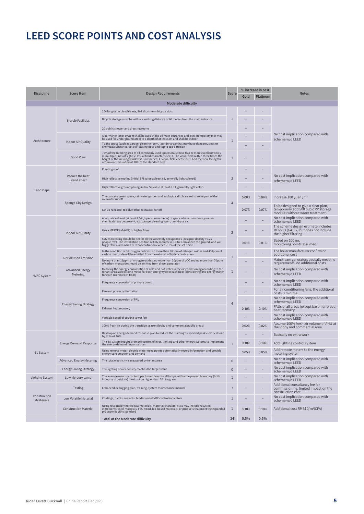| <b>Discipline</b>          | <b>Score Item</b>                  | <b>Design Requirements</b>                                                                                                                                                                                                                                                                                                                                     | <b>Score</b>   |       | % increase in cost                                   | <b>Notes</b>                                                                                                     |
|----------------------------|------------------------------------|----------------------------------------------------------------------------------------------------------------------------------------------------------------------------------------------------------------------------------------------------------------------------------------------------------------------------------------------------------------|----------------|-------|------------------------------------------------------|------------------------------------------------------------------------------------------------------------------|
|                            |                                    |                                                                                                                                                                                                                                                                                                                                                                |                | Gold  | Platinum                                             |                                                                                                                  |
|                            |                                    | <b>Moderate difficulty</b>                                                                                                                                                                                                                                                                                                                                     |                |       |                                                      |                                                                                                                  |
|                            |                                    | 204 long-term bicycle slots; 204 short-term bicycle slots                                                                                                                                                                                                                                                                                                      |                |       |                                                      |                                                                                                                  |
|                            | <b>Bicycle Facilities</b>          | Bicycle storage must be within a walking distance of 60 meters from the main entrance                                                                                                                                                                                                                                                                          | $\mathbf{1}$   |       |                                                      |                                                                                                                  |
|                            |                                    | 20 public shower and dressing rooms                                                                                                                                                                                                                                                                                                                            |                |       |                                                      |                                                                                                                  |
| Architecture               |                                    | A permanent mat system shall be used at the all main entrances and exits (temporary mat may<br>be used for underground area) to a depth of at least 3m and shall be indoor                                                                                                                                                                                     | 1              |       |                                                      | No cost implication compared with<br>scheme w/o LEED                                                             |
|                            | Indoor Air Quality                 | To the space (such as garage, cleaning room, laundry area) that may have dangerous gas or<br>chemical substance, set self-closing door and top to top partition                                                                                                                                                                                                |                |       |                                                      |                                                                                                                  |
|                            | <b>Good View</b>                   | 75% of the building area of all commonly used Spaces must have two or more excellent views<br>(1.multiple lines of sight; 2. Visual field characteristics; 3. The visual field within three times the<br>height of the viewing window is unimpeded; 4. Visual field coefficient). And the view facing the<br>atrium occupies at most 30% of the standard area. | 1              |       |                                                      |                                                                                                                  |
|                            |                                    | Planting roof                                                                                                                                                                                                                                                                                                                                                  |                |       |                                                      |                                                                                                                  |
|                            | Reduce the heat<br>island effect   | High reflective roofing (initial SRI value at least 82, generally light colored)                                                                                                                                                                                                                                                                               | $\overline{2}$ |       |                                                      | No cost implication compared with<br>scheme w/o LEED                                                             |
| Landscape                  |                                    | High reflective ground paving (initial SR value at least 0.33, generally light color)                                                                                                                                                                                                                                                                          |                |       |                                                      |                                                                                                                  |
|                            | Sponge City Design                 | The concave green space, rainwater garden and ecological ditch are set to solve part of the<br>rainwater runoff                                                                                                                                                                                                                                                | $\overline{4}$ | 0.06% | 0.06%                                                | Increase 100 yuan $/m2$                                                                                          |
|                            |                                    | Set up rain pool to solve other rainwater runoff                                                                                                                                                                                                                                                                                                               |                | 0.07% | 0.07%                                                | To be designed to give a clear plan,<br>temporarily add 500 cubic PP storage<br>module (without water treatment) |
|                            |                                    | Adequate exhaust (at least 2.54L/s per square meter) of space where hazardous gases or<br>chemicals may be present, e.g. garage, cleaning room, laundry area.                                                                                                                                                                                                  |                |       |                                                      | No cost implication compared with<br>scheme w/o LEED                                                             |
|                            | Indoor Air Quality                 | Use a MERV13 (G4+F7) or higher filter                                                                                                                                                                                                                                                                                                                          | $\overline{2}$ |       |                                                      | The scheme design estimate includes<br>MERV13 (G4+F7) but does not include<br>the higher filtering               |
|                            |                                    | CO2 monitoring should be set for all the assembly occupancies (designer density >0.25<br>people /m <sup>2</sup> ). The installation position of CO2 monitor is 0.9 to 1.8m above the ground, and will<br>trigger the alarm when CO2 concentration exceeds 10% of the set point                                                                                 |                | 0.01% | 0.01%                                                | Based on 100 no.<br>monitoring points assumed                                                                    |
|                            |                                    | In the condition of 3% oxygen radicals, no more than 30ppm of nitrogen oxides and 400ppm of<br>carbon monoxide will be emitted from the exhaust of boiler combustion                                                                                                                                                                                           | $\mathbf{1}$   |       |                                                      | The boiler manufacturer confirm no<br>additional cost                                                            |
|                            | Air Pollution Emission             | No more than 11ppm of nitrogen oxides, no more than 30ppm of VOC and no more than 70ppm<br>of carbon monoxide should be emitted from diesel generator                                                                                                                                                                                                          |                |       |                                                      | Mainstream generators basically meet the<br>requirements, no additional costs                                    |
| <b>HVAC System</b>         | <b>Advanced Energy</b><br>Metering | Metering the energy consumption of cold and hot water in the air conditioning according to the<br>tenant area, at least one meter for each energy type in each floor (considering one energy meter<br>for each riser in each floor)                                                                                                                            | 1              |       |                                                      | No cost implication compared with<br>scheme w/o LEED                                                             |
|                            |                                    | Frequency conversion of primary pump                                                                                                                                                                                                                                                                                                                           |                |       | No cost implication compared with<br>scheme w/o LEED |                                                                                                                  |
|                            |                                    | Fan unit power optimization                                                                                                                                                                                                                                                                                                                                    |                |       |                                                      | For air conditioning fans, the additioral<br>costs is minimal                                                    |
|                            |                                    | Frequency conversion of PAU                                                                                                                                                                                                                                                                                                                                    | $\overline{4}$ |       |                                                      | No cost implication compared with<br>scheme w/o LEED                                                             |
|                            | <b>Energy Saving Strategy</b>      | Exhaust heat recovery                                                                                                                                                                                                                                                                                                                                          |                | 0.10% | 0.10%                                                | PAUs of all areas (except basement) add<br>heat recovery                                                         |
|                            |                                    | Variable speed of cooling tower fan                                                                                                                                                                                                                                                                                                                            |                |       |                                                      | No cost implication compared with<br>scheme w/o LEED                                                             |
|                            |                                    | 100% fresh air during the transition season (lobby and commercial public areas)                                                                                                                                                                                                                                                                                |                | 0.02% | 0.02%                                                | Assume 100% fresh air volume of AHU at<br>the lobby and commercial area                                          |
|                            |                                    | Develop an energy demand response plan to reduce the building's expected peak electrical load<br>by at least 10%                                                                                                                                                                                                                                               |                |       |                                                      | Basically no extra work                                                                                          |
|                            | <b>Energy Demand Response</b>      | The BA system requires remote control of hvac, lighting and other energy systems to implement<br>the energy demand response plan                                                                                                                                                                                                                               | $\mathbf{1}$   | 0.10% | 0.10%                                                | Add lighting control system                                                                                      |
| <b>EL System</b>           |                                    | Using remote meter, electric meter need points automatically record information and provide<br>energy consumption and demand                                                                                                                                                                                                                                   |                | 0.05% | 0.05%                                                | Add remote meters to the energy<br>metering system                                                               |
|                            | <b>Advanced Energy Metering</b>    | The total electricity is measured by tenant area                                                                                                                                                                                                                                                                                                               | 0              |       |                                                      | No cost implication compared with<br>scheme w/o LEED                                                             |
|                            | <b>Energy Saving Strategy</b>      | The lighting power density reaches the target value                                                                                                                                                                                                                                                                                                            | $\bf 0$        |       |                                                      | No cost implication compared with<br>scheme w/o LEED                                                             |
| <b>Lighting System</b>     | Low Mercury Lamp                   | The average mercury content per lumen hour for all lamps within the project boundary (both<br>indoor and outdoor) must not be higher than 70 picogram                                                                                                                                                                                                          | $\mathbf{1}$   |       |                                                      | No cost implication compared with<br>scheme w/o LEED                                                             |
|                            | Testing                            | Enhanced debugging plan, training, system maintenance manual                                                                                                                                                                                                                                                                                                   | $\overline{3}$ |       |                                                      | Additional consultancy fee for<br>commissioning, limited impact on the<br>construction cost                      |
| Construction<br>/Materials | Low Volatile Material              | Coatings, paints, sealants, binders meet VOC control indicators                                                                                                                                                                                                                                                                                                | $\mathbf{1}$   |       |                                                      | No cost implication compared with<br>scheme w/o LEED                                                             |
|                            | <b>Construction Material</b>       | Using responsibly mined raw materials, material characteristics may include recycled<br>ingredients, local materials, FSC wood, bio-based materials, or products that meet the expanded<br>producer liability standard                                                                                                                                         | 1              | 0.10% | 0.10%                                                | Additional cost RMB10/m <sup>2</sup> (CFA)                                                                       |
|                            |                                    | Total of the Moderate difficulty                                                                                                                                                                                                                                                                                                                               | 24             | 0.5%  | 0.5%                                                 |                                                                                                                  |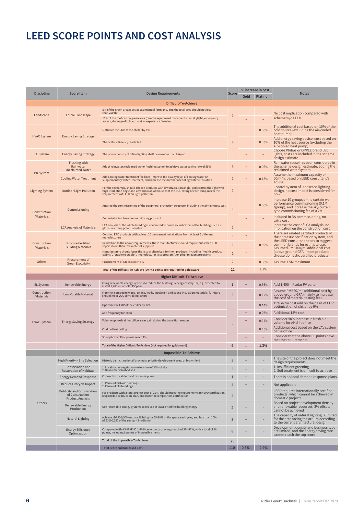| <b>Discipline</b>          | <b>Score Item</b>                                                               | <b>Design Requirements</b>                                                                                                                                                                                                                | <b>Score</b>             |      | % increase in cost | <b>Notes</b>                                                                                                                                         |
|----------------------------|---------------------------------------------------------------------------------|-------------------------------------------------------------------------------------------------------------------------------------------------------------------------------------------------------------------------------------------|--------------------------|------|--------------------|------------------------------------------------------------------------------------------------------------------------------------------------------|
|                            |                                                                                 |                                                                                                                                                                                                                                           |                          | Gold | Platinum           |                                                                                                                                                      |
|                            |                                                                                 | Difficult-To-Achieve                                                                                                                                                                                                                      |                          |      |                    |                                                                                                                                                      |
| Landscape                  | Edible Landscape                                                                | 5% of the green area is set as experiential farmland, and the total area should not less<br>than 250 $\overline{m^2}$<br>15% of the roof can be green area (remove equipment placement area, skylight, emergency                          | $\mathbf{1}$             |      |                    | No cost implication compared with<br>scheme w/o LEED                                                                                                 |
|                            |                                                                                 | access, drainage ditch, etc.) set as experience farmland<br>Optimize the COP of the chiller by 6%                                                                                                                                         |                          |      | 0.08%              | The additional cost based on 10% of the<br>cold source (excluding the Air-cooled                                                                     |
| <b>HVAC System</b>         | <b>Energy Saving Strategy</b>                                                   | The boiler efficiency reach 94%                                                                                                                                                                                                           | $\overline{4}$           |      | 0.03%              | heat pump)<br>Add energy saving device, cost based on<br>10% of the heat source (excluding the                                                       |
| <b>EL System</b>           | <b>Energy Saving Strategy</b>                                                   | The power density of office lighting shall be no more than 8W/m <sup>2</sup>                                                                                                                                                              |                          |      |                    | Air-cooled heat pump)<br>Choose Philips or OPPLE brand LED<br>lights, costs are included in the scheme                                               |
|                            | <b>Flushing with</b><br>Rainwater<br>/Reclaimed Water                           | Adopt rainwater/reclaimed water flushing system to achieve water saving rate of 55%                                                                                                                                                       | 5                        |      | 0.06%              | design estimate<br>Rainwater reuse has been considered in<br>the scheme design estimate, adding the<br>reclaimed water system                        |
| <b>PD System</b>           | <b>Cooling Water Treatment</b>                                                  | Add cooling water treatment facilities, improve the quality level of cooling water or<br>supplementary water treatment, and increase the number of cooling water circulation                                                              | 1                        |      | 0.18%              | Assume the maximum capacity of<br>50m <sup>3</sup> /h, based on LEED consultant's<br>advise                                                          |
| <b>Lighting System</b>     | <b>Outdoor Light Pollution</b>                                                  | For the site lamps, should choose products with low irradiation angle, and control the light with<br>high irradiation angle and upward irradiation, so that the BUG rating of each lamp meets the requirements of LEED on light pollution | 1                        |      |                    | Control system of landscape lighting<br>design, no cost impact is considered for<br>now                                                              |
| Construction               | Commissioning                                                                   | Arrange the commissioning of the peripheral protection structure, including the air tightness test                                                                                                                                        | $\overline{4}$           |      | 0.06%              | Increase 10 groups of the curtain wall<br>performance commissioning (0.1M<br>/group), and increase the sky-curtain<br>type commissioning fee of 0.2M |
| /Materials                 |                                                                                 | Commissioning based on monitoring protocol                                                                                                                                                                                                |                          |      |                    | Included in BA commissioning, no<br>extra cost                                                                                                       |
|                            | <b>LCA Analysis of Materials</b>                                                | LCA analysis of the whole building is conducted to prove six indicators of the building such as<br>global warming potential value                                                                                                         | $\overline{1}$           |      |                    | Increase the cost of LCA analysis, no<br>implication on the construction cost                                                                        |
|                            |                                                                                 | Certified EPD products with at least 20 permanent installations from at least 5 different<br>manufacturers                                                                                                                                | $\overline{1}$           |      |                    | There are related certified products in<br>the domestic certification system, and                                                                    |
| Construction<br>/Materials | <b>Procure Certified</b><br><b>Building Materials</b>                           | In addition to the above requirements, these manufacturers should require published CSR<br>reports from their raw material suppliers                                                                                                      | $\overline{1}$           |      | 0.59%              | the LEED consultant needs to suggest<br>common brands for estimate use.<br>Assumed RMB100/m <sup>2</sup> additional cost                             |
|                            |                                                                                 | Manufacturers should issue the lists of chemicals for their products, including "health product claims", "cradle to cradle", "manufacturer lists program", or other relevant programs                                                     | $\mathbf{1}$             |      |                    | (above-ground GFA) (most products<br>choose domestic certified products).                                                                            |
| Others                     | Procurement of<br><b>Green Electricity</b>                                      | <b>Procurement of Green Electricity</b>                                                                                                                                                                                                   | $\overline{2}$           |      | 0.08%              | Assume 1.5M maximum                                                                                                                                  |
|                            |                                                                                 | Total of the Difficult-To-Achieve (Only 3 points are required for gold award)                                                                                                                                                             | 22                       |      | 1.1%               |                                                                                                                                                      |
|                            |                                                                                 | <b>Higher Difficult-To-Achieve</b>                                                                                                                                                                                                        |                          |      |                    |                                                                                                                                                      |
| <b>EL System</b>           | Renewable Energy                                                                | Using renewable energy systems to reduce the building's energy cost by 1%, e.g. expected to install 1,400 m <sup>2</sup> of solar PV panel                                                                                                | $\mathbf{1}$             |      | 0.36%              | Add $1,400$ m <sup>2</sup> solar PV panel                                                                                                            |
| Construction<br>/Materials | Low Volatile Material                                                           | Flooring, composite wood, ceiling, walls, insulation and sound insulation materials, furniture<br>should meet VOC control indicators                                                                                                      | $\overline{\phantom{0}}$ |      | 0.12%              | Assume RMB20/m <sup>2</sup> additional cost by<br>above-ground GFA (mainly to increase<br>the cost of material testing fee)                          |
|                            |                                                                                 | Optimize the COP of the chiller by 12%                                                                                                                                                                                                    |                          |      | 0.14%              | 15% extra cost add on the basis of COP<br>optimization of chiller by 6%                                                                              |
|                            |                                                                                 | Add frequency function                                                                                                                                                                                                                    |                          |      | 0.07%              | Additional 15% cost                                                                                                                                  |
| <b>HVAC System</b>         | <b>Energy Saving Strategy</b>                                                   | Volume up fresh air for office areas gain during the transition season                                                                                                                                                                    | 3                        |      | 0.14%              | Consider 50% increase in fresh air<br>volume for AHU in office                                                                                       |
|                            |                                                                                 | Cold radiant ceiling                                                                                                                                                                                                                      |                          |      | 0.45%              | Additional cost based on the VAV system<br>of the office                                                                                             |
|                            |                                                                                 | Solar photovoltaic power reach 1%                                                                                                                                                                                                         |                          |      |                    | Consider that the above EL points have<br>met the requirements                                                                                       |
|                            |                                                                                 | Total of the Higher Difficult-To-Achieve (Not required for gold award)                                                                                                                                                                    | 6                        |      | 1.3%               |                                                                                                                                                      |
|                            |                                                                                 | Impossible-To-Achieve                                                                                                                                                                                                                     |                          |      |                    |                                                                                                                                                      |
|                            |                                                                                 | High Priority – Site Selection   Historic district, national/provincial priority development area, or brownfield                                                                                                                          | $\mathsf 3$              |      |                    | The site of the project does not meet the<br>design requirements                                                                                     |
|                            | Conservation and<br><b>Restoration of Habitats</b>                              | 1. Local native vegetation restoration of 30% of site<br>2. Deal with disturbed soil                                                                                                                                                      | $\overline{2}$           |      |                    | 1. Insufficient greening<br>2. Soil treatment is difficult to achieve                                                                                |
|                            | <b>Energy Demand Response</b>                                                   | Connect to local demand response plans                                                                                                                                                                                                    | $1\,$                    |      |                    | There is no local demand response plans                                                                                                              |
|                            | Reduce Lifecycle Impact                                                         | 1. Reuse of historic buildings<br>2. Reuse of old buildings                                                                                                                                                                               | 3                        |      |                    | Not applicable                                                                                                                                       |
|                            | <b>Publicity and Optimization</b><br>of Construction<br><b>Product Analysis</b> | For products with a total project cost of 25%, should meet the requirements for EPD certification,<br>responsible production plan, and material composition certification                                                                 | 3                        |      |                    | LEED requires internationally certified<br>products, which cannot be achieved in<br>domestic projects                                                |
| Others                     | Renewable Energy<br>Production                                                  | Use renewable energy systems to reduce at least 3% of the building energy                                                                                                                                                                 | $\overline{2}$           |      |                    | Based on project development density<br>and renewable resources, 3% offsets<br>cannot be achieved                                                    |
|                            | Natural Lighting                                                                | Achieve sDA300/50% natural lighting for 55-90% of the space each year, and less than 10%<br>ASE1000,250 of the sunlight irradiation                                                                                                       | 3                        |      |                    | The capacity of natural lighting is limited<br>for the area facing the atrium according<br>to the current architectural design                       |
|                            | <b>Energy Efficiency</b><br>Optimization                                        | Compared with ASHRAE 90.1-2010, energy cost savings reached 3%-47%, with a total of 18<br>points, including 8 points of impossible items                                                                                                  | 8                        |      |                    | Development density and business type<br>are limited, and the energy saving rate<br>cannot reach the top score                                       |
|                            |                                                                                 | Total of the Impossible-To-Achieve                                                                                                                                                                                                        | 25                       |      |                    |                                                                                                                                                      |
|                            |                                                                                 | <b>Total Score and Increased Cost</b>                                                                                                                                                                                                     | 110                      | 0.5% | 2.9%               |                                                                                                                                                      |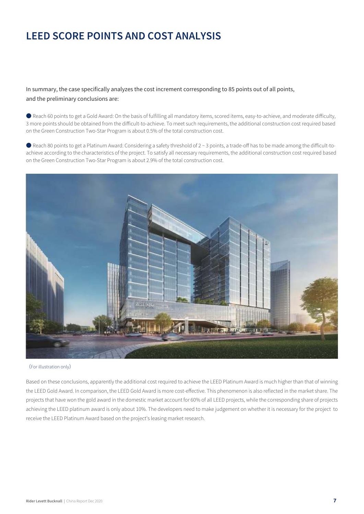In summary, the case specifically analyzes the cost increment corresponding to 85 points out of all points, and the preliminary conclusions are:

Reach 60 points to get a Gold Award: On the basis of fulfilling all mandatory items, scored items, easy-to-achieve, and moderate difficulty, 3 more points should be obtained from the difficult-to-achieve. To meet such requirements, the additional construction cost required based on the Green Construction Two-Star Program is about 0.5% of the total construction cost.

● Reach 80 points to get a Platinum Award: Considering a safety threshold of 2 ~ 3 points, a trade-off has to be made among the difficult-toachieve according to the characteristics of the project. To satisfy all necessary requirements, the additional construction cost required based on the Green Construction Two-Star Program is about 2.9% of the total construction cost.



<sup>(</sup>For illustration only)

Based on these conclusions, apparently the additional cost required to achieve the LEED Platinum Award is much higher than that of winning the LEED Gold Award. In comparison, the LEED Gold Award is more cost-effective. This phenomenon is also reflected in the market share. The projects that have won the gold award in the domestic market account for 60% of all LEED projects, while the corresponding share of projects achieving the LEED platinum award is only about 10%. The developers need to make judgement on whether it is necessary for the project to receive the LEED Platinum Award based on the project's leasing market research.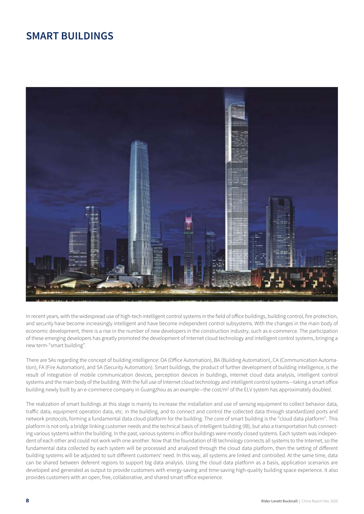### **SMART BUILDINGS**



In recent years, with the widespread use of high-tech intelligent control systems in the field of office buildings, building control, fire protection, and security have become increasingly intelligent and have become independent control subsystems. With the changes in the main body of economic development, there is a rise in the number of new developers in the construction industry, such as e-commerce. The participation of these emerging developers has greatly promoted the development of Internet cloud technology and intelligent control systems, bringing a new term-"smart building".

There are 5As regarding the concept of building intelligence: OA (Office Automation), BA (Building Automation), CA (Communication Automation), FA (Fire Automation), and SA (Security Automation). Smart buildings, the product of further development of building intelligence, is the result of integration of mobile communication devices, perception devices in buildings, Internet cloud data analysis, intelligent control systems and the main body of the building. With the full use of Internet cloud technology and intelligent control systems-taking a smart office building newly built by an e-commerce company in Guangzhou as an example—the cost/m<sup>2</sup> of the ELV system has approximately doubled.

The realization of smart buildings at this stage is mainly to increase the installation and use of sensing equipment to collect behavior data, traffic data, equipment operation data, etc. in the building, and to connect and control the collected data through standardized ports and network protocols, forming a fundamental data cloud platform for the building. The core of smart building is the "cloud data platform". This platform is not only a bridge linking customer needs and the technical basis of intelligent building (IB), but also a transportation hub connecting various systems within the building. In the past, various systems in office buildings were mostly closed systems. Each system was independent of each other and could not work with one another. Now that the foundation of IB technology connects all systems to the Internet, so the fundamental data collected by each system will be processed and analyzed through the cloud data platform, then the setting of different building systems will be adjusted to suit different customers' need. In this way, all systems are linked and controlled. At the same time, data can be shared between deferent regions to support big data analysis. Using the cloud data platform as a basis, application scenarios are developed and generaled as output to provide customers with energy-saving and time-saving high-quality building space experience. It also provides customers with an open, free, collaborative, and shared smart office experience.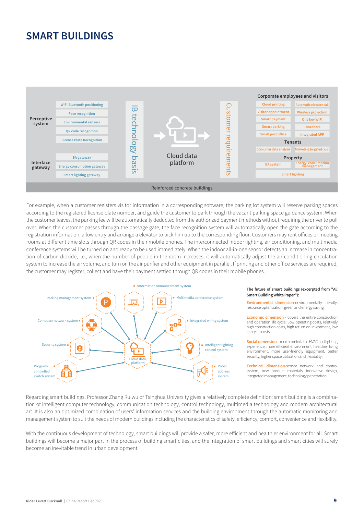### **SMART BUILDINGS**



For example, when a customer registers visitor information in a corresponding software, the parking lot system will reserve parking spaces according to the registered license plate number, and guide the customer to park through the vacant parking space guidance system. When the customer leaves, the parking fee will be automatically deducted from the authorized payment methods without requiring the driver to pull over. When the customer passes through the passage gate, the face recognition system will automatically open the gate according to the registration information, allow entry and arrange a elevator to pick him up to the corresponding floor. Customers may rent offices or meeting rooms at different time slots through QR codes in their mobile phones. The interconnected indoor lighting, air conditioning, and multimedia conference systems will be turned on and ready to be used immediately. When the indoor all-in-one sensor detects an increase in concentration of carbon dioxide, i.e., when the number of people in the room increases, it will automatically adjust the air-conditioning circulation system to increase the air volume, and turn on the air purifier and other equipment in parallel. If printing and other office services are required, the customer may register, collect and have their payment settled through QR codes in their mobile phones.



#### The future of smart buildings (excerpted from "Ali Smart Building White Paper"):

Environmental dimension-environmentally friendly, resource optimization, green and energy saving

**Economic dimension - covers the entire construction** and operation life cycle. Low operating costs, relatively high construction costs, high return on investment, low life cycle costs.

Social dimension - more comfortable HVAC and lighting experience, more efficient environment, healthier living environment, more user-friendly equipment, better security, higher space utilization and flexibility.

Technical dimension-sensor network and control system, new product materials, innovative design, integrated management, technology penetration.

Regarding smart buildings, Professor Zhang Ruiwu of Tsinghua University gives a relatively complete definition: smart building is a combination of intelligent computer technology, communication technology, control technology, multimedia technology and modern architectural art. It is also an optimized combination of users' information services and the building environment through the automatic monitoring and management system to suit the needs of modern buildings including the characteristics of safety, efficiency, comfort, convenience and flexibility.

With the continuous development of technology, smart buildings will provide a safer, more efficient and healthier environment for all. Smart buildings will become a major part in the process of building smart cities, and the integration of smart buildings and smart cities will surely become an inevitable trend in urban development.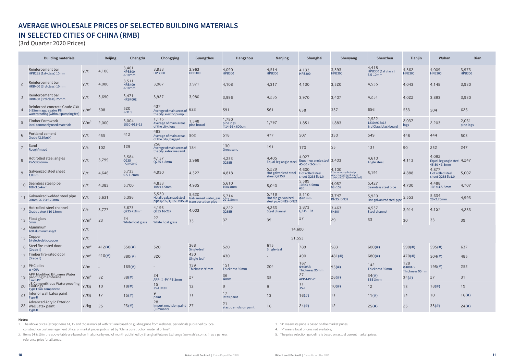# AVERAGE WHOLESALE PRICES OF SELECTED BUILDING MATERIALS IN SELECTED CITIES OF CHINA (RMB)

(3rd Quarter 2020 Prices)

|                 | <b>Building materials</b>                                                                    |                               | <b>Beijing</b> | Chengdu                                  | Chongqing                                                                         | Guangzhou                      | Hangzhou                                   | Nanjing                                             | Shanghai                                                          | Shenyang                                                                             | Shenzhen                                     | Tianjin                                | Wuhan                                                             | Xian                   |
|-----------------|----------------------------------------------------------------------------------------------|-------------------------------|----------------|------------------------------------------|-----------------------------------------------------------------------------------|--------------------------------|--------------------------------------------|-----------------------------------------------------|-------------------------------------------------------------------|--------------------------------------------------------------------------------------|----------------------------------------------|----------------------------------------|-------------------------------------------------------------------|------------------------|
|                 | Reinforcement bar<br>HPB235 (1st-class) 10mm                                                 | 4/t                           | 4,106          | 3,461<br>HPB300<br>8-10mm                | 3,953<br><b>HPB300</b>                                                            | 3,963<br><b>HPB300</b>         | 4,090<br><b>HPB300</b>                     | 4,514<br><b>HPB300</b>                              | 4,133<br><b>HPB300</b>                                            | 3,393<br><b>HPB300</b>                                                               | 4,418<br>HPB300 (1st class)<br>$6.5 - 10$ mm | 4,362<br><b>HPB300</b>                 | 4,009<br><b>HPB300</b>                                            | 3,973<br><b>HPB300</b> |
| $\overline{c}$  | Reinforcement bar<br>HRB400 (3rd class) 10mm                                                 | ¥/t                           | 4,080          | 3,511<br><b>HRB400</b><br>8-10mm         | 3,987                                                                             | 3,971                          | 4,108                                      | 4,317                                               | 4,130                                                             | 3,520                                                                                | 4,535                                        | 4,043                                  | 4,148                                                             | 3,930                  |
| 3               | Reinforcement bar<br>HRB400 (3rd class) 25mm                                                 | ¥/t                           | 3,690          | 3,471<br>HRB400E                         | 3,927                                                                             | 3,980                          | 3,996                                      | 4,235                                               | 3,970                                                             | 3,407                                                                                | 4,251                                        | 4,022                                  | 3,893                                                             | 3,930                  |
|                 | Reinforced concrete Grade C30<br>5-25mm aggregates P8<br>waterproofing (without pumping fee) | $\frac{1}{2}$ /m <sup>3</sup> | 508            | 520<br>$5 - 31.5$                        | 437<br>Average of main areas of 623<br>the city, electric pump                    |                                | 591                                        | 561                                                 | 638                                                               | 337                                                                                  | 656                                          | 533                                    | 504                                                               | 626                    |
| 5               | Timber Formwork<br>local commonly used materials                                             | $\frac{1}{2}$ /m <sup>3</sup> | 2,000          | 3,004<br>1830×915×15                     | 1,115<br>Average of main areas<br>of the city, logs                               | 1,348<br>pine broad            | 1,780<br>pine logs<br>$\Phi$ 14-16 x 600cm | 1,797                                               | 1,851                                                             | 1,883                                                                                | 2,522<br>1830x915x18<br>3rd Class blackboard | 2,037<br>logs                          | 2,203                                                             | 2,061<br>pine logs     |
| $6\phantom{1}$  | Portland cement<br>Grade 42.5(bulk)                                                          | ¥/t                           | 455            | 412                                      | 483<br>Average of main areas 502<br>of the city, bagged                           |                                | 518                                        | 477                                                 | 507                                                               | 330                                                                                  | 549                                          | 448                                    | 444                                                               | 503                    |
|                 | Sand<br>Rough/mixed                                                                          | 4/t                           | 102            | 129                                      | 258<br>Average of main areas of 184<br>the city, extra fine sand                  |                                | 130<br>Gross sand                          | 191                                                 | 170                                                               | 55                                                                                   | 131                                          | 90                                     | 252                                                               | 247                    |
| 8               | Hot rolled steel angles<br>45-50×3-6mm                                                       | ¥/t                           | 3,799          | 3,584<br>$Q$ 235<br>$L50\times50\times5$ | 4,157<br>02354-8mm                                                                | 3,968                          | 4,253<br>Q235B                             | 4,405<br>Equal-leg angle stee                       | 4,027<br>Equal-leg angle steel 3,403<br>$45 - 50 \times 3 - 5$ mm |                                                                                      | 4,610<br>Angle steel                         | 4,113                                  | 4,092<br>Equal-leg angle steel 4,247<br>$45 - 50 \times 3 - 5$ mm |                        |
| 9               | Galvanized steel sheet<br>1.0 <sub>mm</sub>                                                  | 4/t                           | 4,646          | 5,733<br>$0.5 - 1.2$ mm                  | 4,930                                                                             | 4,327                          | 4,818                                      | 5,229<br>Hot galvanized steel<br>sheet Q235B        | 4,600<br>Hot rolled steel<br>sheet Q235 δ≥1.0                     | 4,100<br>Continuously hot-dip<br>zinc-coated steel sheet<br>1.00~2.5 Z275(two-sided) | 5,191                                        | 4,888                                  | 4,877<br>Hot rolled steel<br>sheet Q235 δ≥1.0                     | 5,007                  |
| 10 <sup>°</sup> | Seamless steel pipe<br>108×3.5-4mm                                                           | ¥/t                           | 4,383          | 5,700                                    | 4,853<br>108 x 4.5mm                                                              | 4,935                          | 5,610<br>108x4mm                           | 5,040                                               | 5,589<br>108×3-4.5mm<br>#20                                       | 4,057<br>$68 - 159$                                                                  | 5,427<br>Seamless steel pipe                 | 4,730                                  | 4,488<br>$108 \times 4.5 - 5$ mm                                  | 4,707                  |
| 11              | Galvanized welded steel pipe<br>20mm 26.75x2.75mm                                            | 4/t                           | 5,631          | 5,396                                    | 5,530<br>Hot dip galvanized steel<br>pipe Q235 / Q195 DN15-20 transportation pipe | 5,620<br>Galvanized water, gas | 5,714<br>20*2.8mm                          | 5,718<br>Hot dip galvanized<br>steel pipe DN15~DN32 | 5,110<br>$\Phi$ 20 mm                                             | 3,747<br><b>DN25~DN32</b>                                                            | 5,920<br>Hot-galvanized steel pipe           | 5,553                                  | 5,634<br>$20\times2.75$ mm                                        | 4,993                  |
| 12              | Hot-rolled steel channel<br>Grade a steel #16-18mm                                           | 4/t                           | 3,777          | 3,673<br>Q235 #18mm                      | 4,193<br>Q235 16-22#                                                              | 4,003                          | 4,222<br>Q235B                             | 4,263<br><b>Steel channel</b>                       | 3,873<br>Q235 16#                                                 | 3,463<br>$5 - 30#$                                                                   | 4,537<br><b>Steel channel</b>                | 3,914                                  | 4,157                                                             | 4,233                  |
|                 | 13 Float glass<br>5 <sub>mm</sub>                                                            | $\frac{1}{2}$ /m <sup>2</sup> | 23             | 24<br>White float glass                  | 27<br>White float glass                                                           | 33                             | 37                                         | 39                                                  | 27                                                                | 29                                                                                   | 33                                           | 30                                     | 33                                                                | 39                     |
| 14              | Aluminium<br>A00 aluminum ingot                                                              | 4/t                           |                |                                          |                                                                                   |                                |                                            | 14,600                                              |                                                                   |                                                                                      |                                              |                                        |                                                                   |                        |
| 15              | Copper<br>1# electrolytic copper                                                             | 4/t                           |                |                                          |                                                                                   |                                |                                            | 51,553                                              |                                                                   |                                                                                      |                                              |                                        |                                                                   |                        |
| 16              | Steel fire-rated door<br>(Grade II)                                                          | $\frac{1}{2}$ /m <sup>2</sup> | $412($ #)      | 550(#)                                   | 520                                                                               | 368<br>Single-leaf             | 520                                        | 615<br>Single-leaf                                  | 789                                                               | 583                                                                                  | $600(\#)$                                    | $590(\#)$                              | 595(#)                                                            | 637                    |
|                 | 17 Timber fire-rated door<br>(Grade II)                                                      | $\frac{1}{2}$ /m <sup>2</sup> | 410(#)         | 380(#)                                   | 320                                                                               | 430<br>Single-leaf             | 430                                        |                                                     | 490                                                               | $481(\#)$                                                                            | $680(\#)$                                    | 470(#)                                 | $504(\#)$                                                         | 485                    |
|                 | 18 PHC piles<br>$\Phi$ 400A                                                                  | $\frac{1}{2}$ /m              |                | $165(\#)$                                |                                                                                   | 139<br>Thickness 95mm          | 151<br>Thickness 95mm                      | 204                                                 | 167<br><b>Φ400AB</b><br>Thickness 95mm                            | 95(#)                                                                                | 142<br>Thickness 95mm                        | 128<br><b>Φ400AB</b><br>Thickness 95mm | 195(#)                                                            | 252                    |
| 19 <sup>°</sup> | APP Modified Bitumen Water -<br>proofing membrane<br>3 mm PY                                 | $\frac{1}{2}$ /m <sup>2</sup> | 32             | 38(#)                                    | 24<br>APP- I -PY-PE-3mm                                                           | 27                             | 36<br>4mm                                  | 35                                                  | 27<br>APP-I-PY-PE                                                 | 26(#)                                                                                | 34(#)<br>SBS 3mm                             | 34(#)                                  | 27                                                                | 31                     |
| 20              | JS Cementitious Waterproofing<br>Coatings<br>Type I two-component                            | ¥/kg                          | 10             | 18(#)                                    | 15<br>JS-I latex                                                                  | 12                             | $\,8\,$                                    | 9                                                   | 11<br>$JS-I$                                                      | 10(f)                                                                                | 12                                           | 13                                     | 18(#)                                                             | 19                     |
| 21              | Interior wall Latex paint<br>Type II                                                         | ¥/kg                          | 17             | 15(f)                                    | 9<br>paint                                                                        | 11                             | 17<br>latex paint                          | 13                                                  | 16(#)                                                             | 11                                                                                   | $11(\#)$                                     | 12                                     | 10 <sup>°</sup>                                                   | 16(#)                  |
|                 | <b>Advanced Acrylic Exterior</b><br>22 Wall Latex paint<br>Type II                           | $4 / kg$ 25                   |                | 23(#)                                    | 28<br>import emulsion paint 27<br>(luminant)                                      |                                | 21<br>elastic emulsion paint               | 16                                                  | 24(#)                                                             | 12                                                                                   | 25(#)                                        | 25                                     | 33(#)                                                             | 24(#)                  |

#### Notes:

1. The above prices (except items 14, 15 and those marked with "#") are based on guiding price from websites; periodicals published by local construction cost management office; or market prices published by "China construction material online";

2. Items 14 & 15 in the above table are based on final price by end of month published by Shanghai Futures Exchange (www.shfe.com.cn), as a general reference price for all areas;

3. "#" means its price is based on the market prices;

4. "-" means local price is not available;

5. The price selection guideline is based on actual current market prices.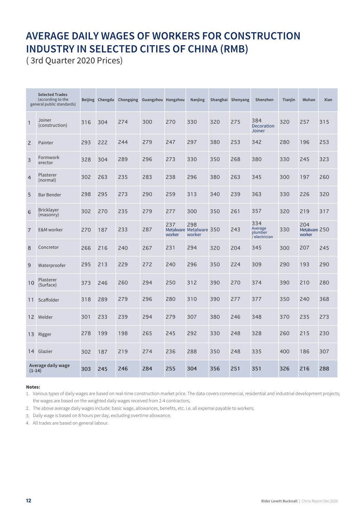# **AVERAGE DAILY WAGES OF WORKERS FOR CONSTRUCTION INDUSTRY IN SELECTED CITIES OF CHINA (RMB)**

(3rd Quarter 2020 Prices)

|                | <b>Selected Trades</b><br>(according to the<br>general public standards) |     | Beijing Chengdu | Chongqing | Guangzhou Hangzhou |               | Nanjing                                  |     | Shanghai Shenyang | Shenzhen                                     | Tianjin | Wuhan                          | Xian |
|----------------|--------------------------------------------------------------------------|-----|-----------------|-----------|--------------------|---------------|------------------------------------------|-----|-------------------|----------------------------------------------|---------|--------------------------------|------|
| 1              | Joiner<br>(construction)                                                 | 316 | 304             | 274       | 300                | 270           | 330                                      | 320 | 275               | 384<br>Decoration<br>Joiner                  | 320     | 257                            | 315  |
| $\overline{c}$ | Painter                                                                  | 293 | 222             | 244       | 279                | 247           | 297                                      | 380 | 253               | 342                                          | 280     | 196                            | 253  |
| 3              | Formwork<br>erector                                                      | 328 | 304             | 289       | 296                | 273           | 330                                      | 350 | 268               | 380                                          | 330     | 245                            | 323  |
| $\overline{4}$ | Plasterer<br>(normal)                                                    | 302 | 263             | 235       | 283                | 238           | 296                                      | 380 | 263               | 345                                          | 300     | 197                            | 260  |
| 5              | <b>Bar Bender</b>                                                        | 298 | 295             | 273       | 290                | 259           | 313                                      | 340 | 239               | 363                                          | 330     | 226                            | 320  |
| 6              | <b>Bricklayer</b><br>(masonry)                                           | 302 | 270             | 235       | 279                | 277           | 300                                      | 350 | 261               | 357                                          | 320     | 219                            | 317  |
| $\overline{7}$ | <b>E&amp;M</b> worker                                                    | 270 | 187             | 233       | 287                | 237<br>worker | 298<br>Metalware Metalware 350<br>worker |     | 243               | 334<br>Average<br>plumber<br>$i$ electrician | 330     | 204<br>Metalware 250<br>worker |      |
| 8              | Concretor                                                                | 266 | 216             | 240       | 267                | 231           | 294                                      | 320 | 204               | 345                                          | 300     | 207                            | 245  |
| 9              | Waterproofer                                                             | 295 | 213             | 229       | 272                | 240           | 296                                      | 350 | 224               | 309                                          | 290     | 193                            | 290  |
| 10             | Plasterer<br>(Surface)                                                   | 373 | 246             | 260       | 294                | 250           | 312                                      | 390 | 270               | 374                                          | 390     | 210                            | 280  |
| 11             | Scaffolder                                                               | 318 | 289             | 279       | 296                | 280           | 310                                      | 390 | 277               | 377                                          | 350     | 240                            | 368  |
| 12             | Welder                                                                   | 301 | 233             | 239       | 294                | 279           | 307                                      | 380 | 246               | 348                                          | 370     | 235                            | 273  |
| 13             | Rigger                                                                   | 278 | 199             | 198       | 265                | 245           | 292                                      | 330 | 248               | 328                                          | 260     | 215                            | 230  |
| 14             | Glazier                                                                  | 302 | 187             | 219       | 274                | 236           | 288                                      | 350 | 248               | 335                                          | 400     | 186                            | 307  |
| $(1-14)$       | Average daily wage                                                       | 303 | 245             | 246       | 284                | 255           | 304                                      | 356 | 251               | 351                                          | 326     | 216                            | 288  |

### Notes:

1. Various types of daily wages are based on real-time construction market price. The data covers commercial, residential and industrial development projects; the wages are based on the weighted daily wages received from 2-4 contractors;

2. The above average daily wages include: basic wage, allowances, benefits, etc. i.e. all expense payable to workers;

3. Daily wage is based on 8 hours per day, excluding overtime allowance;

4. All trades are based on general labour.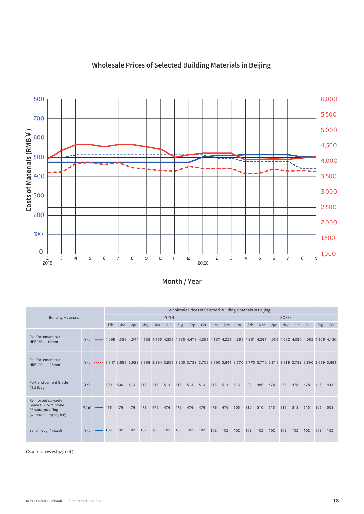

### Wholesale Prices of Selected Building Materials in Beijing

Month / Year

|                                                                                          |                                         | Wholesale Prices of Selected Building Materials in Beijing |         |     |     |     |             |      |         |     |     |     |     |     |     |     |     |      |     |     |                                                                                                                              |     |
|------------------------------------------------------------------------------------------|-----------------------------------------|------------------------------------------------------------|---------|-----|-----|-----|-------------|------|---------|-----|-----|-----|-----|-----|-----|-----|-----|------|-----|-----|------------------------------------------------------------------------------------------------------------------------------|-----|
| <b>Building Materials</b>                                                                |                                         |                                                            |         |     |     |     |             | 2019 |         |     |     |     |     |     |     |     |     | 2020 |     |     |                                                                                                                              |     |
|                                                                                          |                                         |                                                            | Feb     | Mar | Apr | May | Jun         | Jul  | Aug     | Sep | Oct | Nov | Dec | Jan | Feb | Mar | Apr | May  | Jun | Jul | Aug                                                                                                                          | Sep |
| Reinforcement bar<br>HPB235 (I) 10mm                                                     | 4/t                                     |                                                            |         |     |     |     |             |      |         |     |     |     |     |     |     |     |     |      |     |     | 4,099 4,358 4,544 4,535 4,465 4,535 4,535 4,473 4,385 4,137 4,226 4,261 4,261 4,058 4,062 4,062 4,062 4,106 4,150            |     |
| Reinforcement bar<br>HRB400 (III) 25mm                                                   |                                         |                                                            |         |     |     |     |             |      |         |     |     |     |     |     |     |     |     |      |     |     | ¥/t  3,647 3,655 3,938 3,956 3,894 3,956 3,805 3,752 3,708 3,690 3,841 3,770 3,770 3,770 3,611 3,619 3,752 3,690 3,699 3,681 |     |
| Portland cement Grade<br>$42.5$ (bag)                                                    | ¥/†                                     | $\cdots$ 500                                               |         | 500 | 513 | 513 | 513         | 513  | 513 513 |     | 513 | 513 | 513 | 513 | 496 | 496 | 478 | 478  | 478 | 478 | 443                                                                                                                          | 443 |
| Reinforced concrete<br>Grade C30 5-25 stone<br>P8 waterproofing<br>(without pumping fee) | $\frac{2}{\frac{1}{2}}$ /m <sup>3</sup> |                                                            | 476 476 |     | 476 | 476 | 476 476 476 |      |         | 476 | 476 | 476 | 476 | 505 | 510 | 510 | 515 | 515  | 515 | 515 | 505                                                                                                                          | 505 |
| Sand (rough/mixed)                                                                       | ¥/t                                     |                                                            | 102     | 102 | 102 | 102 | 102         | 102  | 102     | 102 | 102 | 102 | 102 | 102 | 102 | 102 | 102 | 102  | 102 | 102 | 102                                                                                                                          | 102 |

(Source: www.bjzj.net)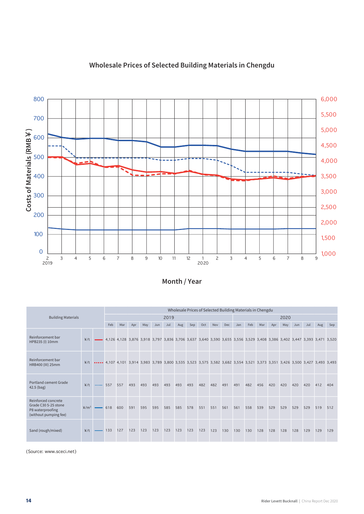

### Wholesale Prices of Selected Building Materials in Chengdu

Month / Year

|                                                                                          |                               | Wholesale Prices of Selected Building Materials in Chengdu |              |     |     |     |     |      |     |     |     |     |     |     |     |     |     |      |     |     |                                                                                                                              |     |
|------------------------------------------------------------------------------------------|-------------------------------|------------------------------------------------------------|--------------|-----|-----|-----|-----|------|-----|-----|-----|-----|-----|-----|-----|-----|-----|------|-----|-----|------------------------------------------------------------------------------------------------------------------------------|-----|
| <b>Building Materials</b>                                                                |                               |                                                            |              |     |     |     |     | 2019 |     |     |     |     |     |     |     |     |     | 2020 |     |     |                                                                                                                              |     |
|                                                                                          |                               |                                                            | Feb          | Mar | Apr | May | Jun | Jul  | Aug | Sep | Oct | Nov | Dec | Jan | Feb | Mar | Apr | May  | Jun | Jul | Aug                                                                                                                          | Sep |
| Reinforcement bar<br>HPB235 (I) 10mm                                                     | Y/t                           |                                                            |              |     |     |     |     |      |     |     |     |     |     |     |     |     |     |      |     |     | 4,126 4,128 3,876 3,918 3,797 3,836 3,706 3,637 3,640 3,590 3,655 3,556 3,529 3,408 3,386 3,402 3,447 3,393 3,471 3,520      |     |
| Reinforcement bar<br>HRB400 (III) 25mm                                                   |                               |                                                            |              |     |     |     |     |      |     |     |     |     |     |     |     |     |     |      |     |     | ¥/t  4,107 4,101 3,914 3,983 3,789 3,800 3,535 3,523 3,575 3,582 3,682 3,554 3,521 3,373 3,351 3,426 3,500 3,427 3,493 3,493 |     |
| Portland cement Grade<br>$42.5$ (bag)                                                    | ¥/†                           |                                                            | $\cdots$ 557 | 557 | 493 | 493 | 493 | 493  | 493 | 493 | 482 | 482 | 491 | 491 | 482 | 456 | 420 | 420  | 420 | 420 | 412                                                                                                                          | 404 |
| Reinforced concrete<br>Grade C30 5-25 stone<br>P8 waterproofing<br>(without pumping fee) | $\frac{2}{3}$ /m <sup>3</sup> |                                                            | 618          | 600 | 591 | 595 | 595 | 585  | 585 | 578 | 551 | 551 | 561 | 561 | 558 | 539 | 529 | 529  | 529 | 529 | 519                                                                                                                          | 512 |
| Sand (rough/mixed)                                                                       | 4/t                           |                                                            | 133          | 127 | 123 | 123 | 123 | 123  | 123 | 123 | 123 | 123 | 130 | 130 | 130 | 128 | 128 | 128  | 128 | 129 | 129                                                                                                                          | 129 |

(Source: www.sceci.net)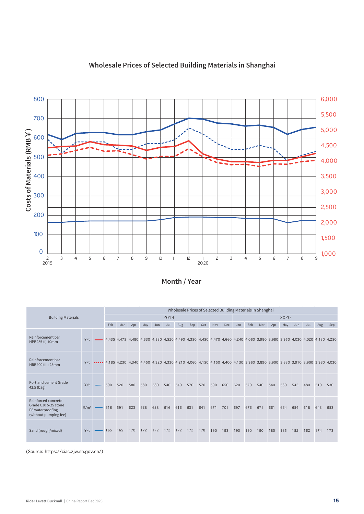

### Wholesale Prices of Selected Building Materials in Shanghai

Month / Year

|                                                                                          |                                 | Wholesale Prices of Selected Building Materials in Shanghai |     |     |     |     |     |      |     |     |     |     |                                                                                                                              |     |     |     |     |      |     |     |     |     |
|------------------------------------------------------------------------------------------|---------------------------------|-------------------------------------------------------------|-----|-----|-----|-----|-----|------|-----|-----|-----|-----|------------------------------------------------------------------------------------------------------------------------------|-----|-----|-----|-----|------|-----|-----|-----|-----|
| <b>Building Materials</b>                                                                |                                 |                                                             |     |     |     |     |     | 2019 |     |     |     |     |                                                                                                                              |     |     |     |     | 2020 |     |     |     |     |
|                                                                                          |                                 |                                                             | Feb | Mar | Apr | May | Jun | Jul  | Aug | Sep | Oct | Nov | Dec                                                                                                                          | Jan | Feb | Mar | Apr | May  | Jun | Jul | Aug | Sep |
| Reinforcement bar<br>HPB235 (I) 10mm                                                     | ¥/†                             |                                                             |     |     |     |     |     |      |     |     |     |     | 4,435 4,475 4,480 4,630 4,530 4,520 4,490 4,350 4,450 4,470 4,660 4,240 4,060 3,980 3,980 3,950 4,030 4,020 4,130 4,250      |     |     |     |     |      |     |     |     |     |
| Reinforcement bar<br>HRB400 (III) 25mm                                                   |                                 |                                                             |     |     |     |     |     |      |     |     |     |     | ¥/t  4,185 4,230 4,340 4,450 4,320 4,330 4,210 4,060 4,150 4,150 4,400 4,130 3,960 3,890 3,900 3,830 3,910 3,900 3,980 4,030 |     |     |     |     |      |     |     |     |     |
| Portland cement Grade<br>$42.5$ (bag)                                                    | ¥/†                             | $\cdots$ 590                                                |     | 520 | 580 | 580 | 580 | 540  | 540 | 570 | 570 | 590 | 650                                                                                                                          | 620 | 570 | 540 | 540 | 560  | 545 | 480 | 510 | 530 |
| Reinforced concrete<br>Grade C30 5-25 stone<br>P8 waterproofing<br>(without pumping fee) | $\frac{2}{\pi}$ /m <sup>3</sup> |                                                             | 616 | 591 | 623 | 628 | 628 | 616  | 616 | 631 | 641 | 671 | 701                                                                                                                          | 697 | 676 | 671 | 661 | 664  | 654 | 618 | 643 | 653 |
| Sand (rough/mixed)                                                                       | ¥/t                             |                                                             | 165 | 165 | 170 | 172 | 172 | 172  | 172 | 172 | 178 | 190 | 193                                                                                                                          | 193 | 190 | 190 | 185 | 185  | 182 | 162 | 174 | 173 |

(Source: https://ciac.zjw.sh.gov.cn/)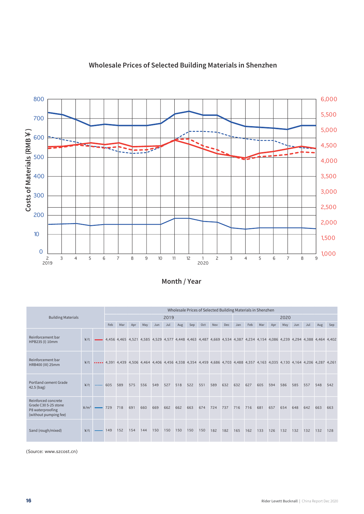

### Wholesale Prices of Selected Building Materials in Shenzhen

Month / Year

|                                                                                          |                                   | Wholesale Prices of Selected Building Materials in Shenzhen |              |     |     |     |     |      |     |     |     |     |     |     |     |     |     |      |     |     |                                                                                                                              |     |
|------------------------------------------------------------------------------------------|-----------------------------------|-------------------------------------------------------------|--------------|-----|-----|-----|-----|------|-----|-----|-----|-----|-----|-----|-----|-----|-----|------|-----|-----|------------------------------------------------------------------------------------------------------------------------------|-----|
| <b>Building Materials</b>                                                                |                                   |                                                             |              |     |     |     |     | 2019 |     |     |     |     |     |     |     |     |     | 2020 |     |     |                                                                                                                              |     |
|                                                                                          |                                   |                                                             | Feb          | Mar | Apr | May | Jun | Jul  | Aug | Sep | Oct | Nov | Dec | Jan | Feb | Mar | Apr | May  | Jun | Jul | Aug                                                                                                                          | Sep |
| Reinforcement bar<br>HPB235 (I) 10mm                                                     | 4/t                               |                                                             |              |     |     |     |     |      |     |     |     |     |     |     |     |     |     |      |     |     | 4,466 4,465 4,521 4,585 4,529 4,577 4,448 4,463 4,487 4,669 4,534 4,387 4,234 4,154 4,086 4,239 4,294 4,388 4,464 4,402      |     |
| Reinforcement bar<br>HRB400 (III) 25mm                                                   |                                   |                                                             |              |     |     |     |     |      |     |     |     |     |     |     |     |     |     |      |     |     | ¥/t  4,391 4,439 4,506 4,464 4,406 4,456 4,338 4,354 4,459 4,686 4,703 4,488 4,357 4,163 4,035 4,130 4,164 4,206 4,287 4,261 |     |
| Portland cement Grade<br>$42.5$ (bag)                                                    | ¥/†                               |                                                             | $\cdots$ 605 | 589 | 575 | 556 | 549 | 527  | 518 | 522 | 551 | 589 | 632 | 632 | 627 | 605 | 594 | 586  | 585 | 557 | 548                                                                                                                          | 542 |
| Reinforced concrete<br>Grade C30 5-25 stone<br>P8 waterproofing<br>(without pumping fee) | $\frac{2}{\pi}$ /m <sup>3</sup> – |                                                             | 729          | 718 | 691 | 660 | 669 | 662  | 662 | 663 | 674 | 724 | 737 | 716 | 716 | 681 | 657 | 654  | 648 | 642 | 663                                                                                                                          | 663 |
| Sand (rough/mixed)                                                                       | ¥/t                               |                                                             | 149          | 152 | 154 | 144 | 150 | 150  | 150 | 150 | 150 | 182 | 182 | 165 | 162 | 133 | 126 | 132  | 132 | 132 | 132                                                                                                                          | 128 |

(Source: www.szcost.cn)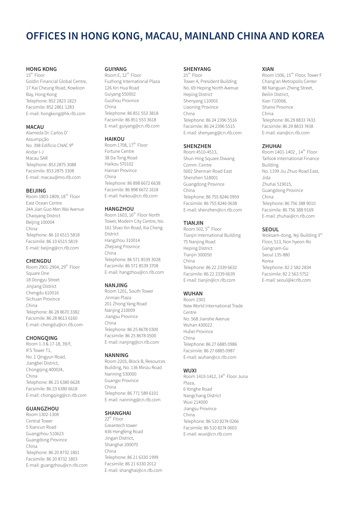# OFFICES IN HONG KONG, MACAU, MAINLAND CHINA AND KOREA

### **HONG KONG**

15<sup>th</sup> Floor Goldin Financial Global Centre, 17 Kai Cheung Road, Kowloon Bay, Hong Kong Telephone: 852 2823 1823 Facsimile: 852 2861 1283 E-mail: hongkong@hk.rlb.com

### **MACAU**

Alameda Dr. Carlos D' Assumpcão No. 398 Edificio CNAC 9º Andar I-J Macau SAR Telephone: 853 2875 3088 Facsimile: 853 2875 3308 E-mail: macau@mo.rlb.com

#### **BEIJING**

Room 1803-1809, 18<sup>th</sup> Floor East Ocean Centre 24A Jian Guo Men Wai Avenue Chaoyang District Beijing 100004 China Telephone: 86 10 6515 5818 Facsimile: 86 10 6515 5819 E-mail: beijing@cn.rlb.com

#### CHENGDU

Room 2901-2904, 29<sup>th</sup> Floor Square One 18 Dongyu Street Jinjiang District Chengdu 610016 Sichuan Province China Telephone: 86 28 8670 3382 Facsimile: 86 28 8613 6160 E-mail: chengdu@cn.rlb.com

#### **CHONGOING**

Room 1-3 & 17-18, 39/F, IFS Tower T1, No. 1 Qingyun Road, Jiangbei District, Chongqing 400024, China Telephone: 86 23 6380 6628 Facsimile: 86 23 6380 6618 E-mail: chongqing@cn.rlb.com

### **GUANGZHOU**

Room 1302-1308 Contral Tower 5 Xiancun Road Guangzhou 510623 Guangdong Province China Telephone: 86 20 8732 1801 Facsimile: 86 20 8732 1803 E-mail: guangzhou@cn.rlb.com

### **GUIYANG**

Room E, 12<sup>th</sup> Floor Fuzhong International Plaza 126 Xin Hua Road Guiyang 550002 Guizhou Province China Telephone: 86 851 553 3818 Facsimile: 86 851 553 3618 E-mail: guiyang@cn.rlb.com

### **HAIKOU**

Room 1708, 17<sup>th</sup> Floor Fortune Centre 38 Da Tong Road Haikou 570102 Hainan Province China Telephone: 86 898 6672 6638 Facsimile: 86 898 6672 1618 E-mail: haikou@cn.rlb.com

#### **HANGZHOU**

Room 1603, 16<sup>th</sup> Floor North Tower, Modern City Centre, No. 161 Shao Xin Road, Xia Cheng District Hangzhou 310014 Zhejiang Province China Telephone: 86 571 8539 3028 Facsimile: 86 571 8539 3708 E-mail: hangzhou@cn.rlb.com

### **NANJING**

Room 1201, South Tower Jinmao Plaza 201 Zhong Yang Road Nanjing 210009 Jiangsu Province China Telephone: 86 25 8678 0300 Facsimile: 86 25 8678 0500 E-mail: nanjing@cn.rlb.com

#### **NANNING**

Room 2203, Block B, Resources Building, No. 136 Minzu Road Nanning 530000 Guangxi Province China Telephone: 86 771 589 6101 E-mail: nanning@cn.rlb.com

#### **SHANGHAI**

 $22^{\text{td}}$  Floor Greantech tower 436 Hengfeng Road Jingan District, Shanghai 200070 China Telephone: 86 21 6330 1999 Facsimile: 86 21 6330 2012 E-mail: shanghai@cn.rlb.com

### **SHENYANG**

25<sup>th</sup> Floor Tower A, President Building No. 69 Heping North Avenue **Heping District** Shenyang 110003 Liaoning Province China Telephone: 86 24 2396 5516 Facsimile: 86 24 2396 5515 E-mail: shenyang@cn.rlb.com

### **SHENZHEN**

Room 4510-4513, Shun Hing Square Diwang Comm. Centre 5002 Shennan Road East Shenzhen 518001 Guangdong Province China Telephone: 86 755 8246 0959 Facsimile: 86 755 8246 0638 E-mail: shenzhen@cn.rlb.com

### **TIANJIN**

Room 502, 5<sup>th</sup> Floor Tianjin International Building 75 Nanjing Road **Heping District** Tianjin 300050 China Telephone: 86 22 2339 6632 Facsimile: 86 22 2339 6639 E-mail: tianjin@cn.rlb.com

### **WUHAN**

Room 2301 New World International Trade Centre No. 568 Jianshe Avenue Wuhan 430022 Hubei Province China Telephone: 86 27 6885 0986 Facsimile: 86 27 6885 0987 E-mail: wuhan@cn.rlb.com

#### **WUXI**

Room 1410-1412, 14<sup>th</sup> Floor Juna Plaza, 6 Yonghe Road Nangchang District Wuxi 214000 Jiangsu Province China Telephone: 86 510 8274 0266 Facsimile: 86 510 8274 0603 E-mail: wuxi@cn.rlb.com

#### **XIAN**

Room 1506, 15<sup>th</sup> Floor, Tower F Chang'an Metropolis Center 88 Nanguan Zheng Street, Beilin District, Xian 710068, Shanxi Province China Telephone: 86 29 8833 7433 Facsimile: 86 29 8833 7438 E-mail: xian@cn.rlb.com

#### **7HUHAI**

Room 1401-1402, 14<sup>th</sup> Floor Taifook International Finance Building No. 1199 Jiu Zhuo Road East, lida Zhuhai 519015 Guangdong Province China Telephone: 86 756 388 9010 Facsimile: 86 756 388 9169 E-mail: zhuhai@cn.rlb.com

#### **SFOUL**

Yeoksam-dong, Yeji Building 3rd Floor, 513, Non hyeon-Ro Gangnam-Gu Seoul 135-880 Korea Telephone: 82 2 582 2834 Facsimile: 82 2 563 5752 E-mail: seoul@kr.rlb.com